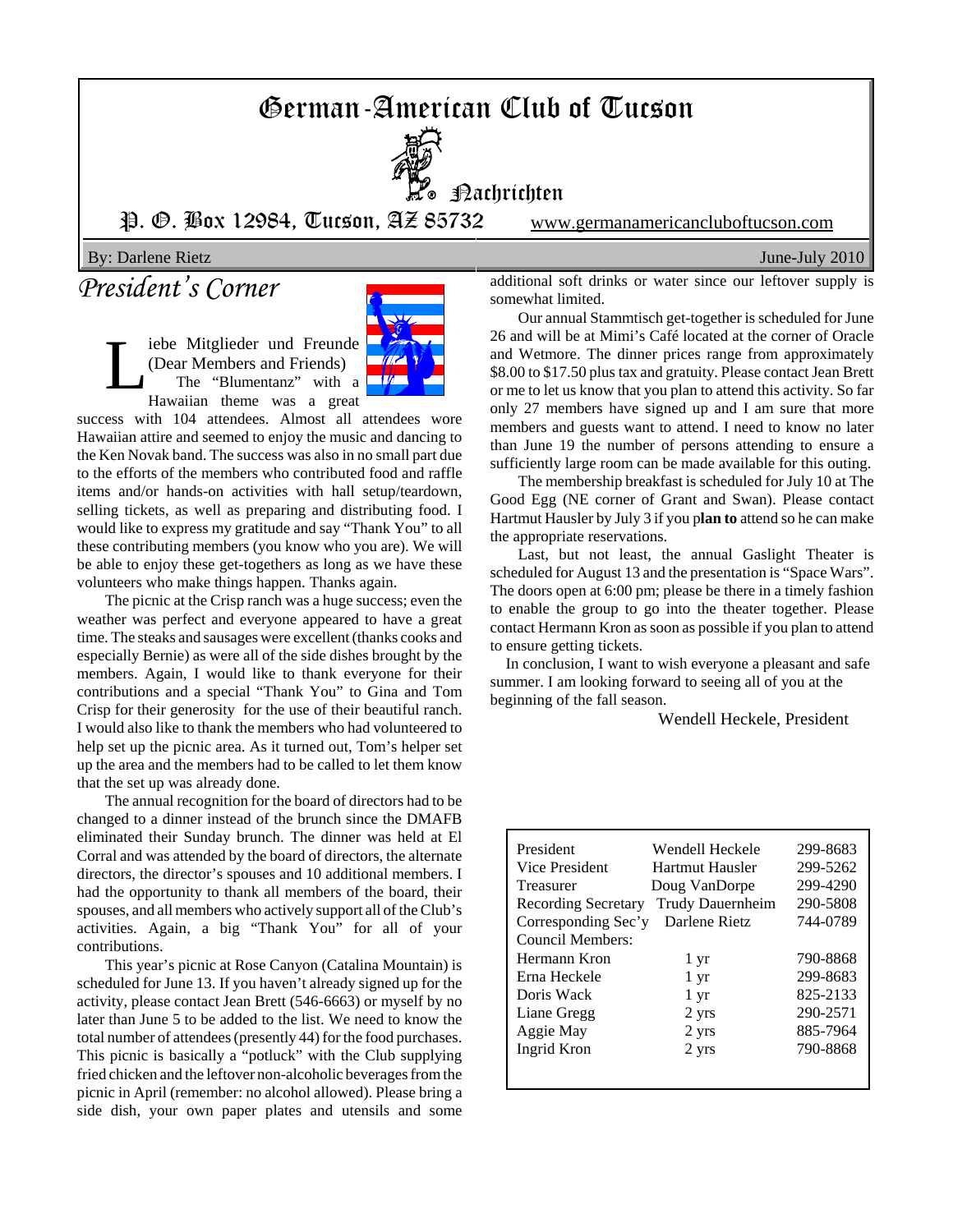# German-American Club of Tucson



**P**o Bachrichten

P. O. Box 12984, Tucson, AZ 85732 www.germanamericancluboftucson.com

By: Darlene Rietz June-July 2010

# *President's Corner*

Liebe Mitglieder und Freunde<br>
(Dear Members and Friends)<br>
The "Blumentanz" with a<br>
Hawaiian theme was a great (Dear Members and Friends) The "Blumentanz" with a Hawaiian theme was a great



success with 104 attendees. Almost all attendees wore Hawaiian attire and seemed to enjoy the music and dancing to the Ken Novak band. The success was also in no small part due to the efforts of the members who contributed food and raffle items and/or hands-on activities with hall setup/teardown, selling tickets, as well as preparing and distributing food. I would like to express my gratitude and say "Thank You" to all these contributing members (you know who you are). We will be able to enjoy these get-togethers as long as we have these volunteers who make things happen. Thanks again.

The picnic at the Crisp ranch was a huge success; even the weather was perfect and everyone appeared to have a great time. The steaks and sausages were excellent (thanks cooks and especially Bernie) as were all of the side dishes brought by the members. Again, I would like to thank everyone for their contributions and a special "Thank You" to Gina and Tom Crisp for their generosity for the use of their beautiful ranch. I would also like to thank the members who had volunteered to help set up the picnic area. As it turned out, Tom's helper set up the area and the members had to be called to let them know that the set up was already done.

The annual recognition for the board of directors had to be changed to a dinner instead of the brunch since the DMAFB eliminated their Sunday brunch. The dinner was held at El Corral and was attended by the board of directors, the alternate directors, the director's spouses and 10 additional members. I had the opportunity to thank all members of the board, their spouses, and all members who actively support all of the Club's activities. Again, a big "Thank You" for all of your contributions.

This year's picnic at Rose Canyon (Catalina Mountain) is scheduled for June 13. If you haven't already signed up for the activity, please contact Jean Brett (546-6663) or myself by no later than June 5 to be added to the list. We need to know the total number of attendees (presently 44) for the food purchases. This picnic is basically a "potluck" with the Club supplying fried chicken and the leftover non-alcoholic beverages from the picnic in April (remember: no alcohol allowed). Please bring a side dish, your own paper plates and utensils and some additional soft drinks or water since our leftover supply is somewhat limited.

Our annual Stammtisch get-together is scheduled for June 26 and will be at Mimi's Café located at the corner of Oracle and Wetmore. The dinner prices range from approximately \$8.00 to \$17.50 plus tax and gratuity. Please contact Jean Brett or me to let us know that you plan to attend this activity. So far only 27 members have signed up and I am sure that more members and guests want to attend. I need to know no later than June 19 the number of persons attending to ensure a sufficiently large room can be made available for this outing.

The membership breakfast is scheduled for July 10 at The Good Egg (NE corner of Grant and Swan). Please contact Hartmut Hausler by July 3 if you p**lan to** attend so he can make the appropriate reservations.

Last, but not least, the annual Gaslight Theater is scheduled for August 13 and the presentation is "Space Wars". The doors open at 6:00 pm; please be there in a timely fashion to enable the group to go into the theater together. Please contact Hermann Kron as soon as possible if you plan to attend to ensure getting tickets.

 In conclusion, I want to wish everyone a pleasant and safe summer. I am looking forward to seeing all of you at the beginning of the fall season.

Wendell Heckele, President

| President           | Wendell Heckele         | 299-8683 |
|---------------------|-------------------------|----------|
| Vice President      | Hartmut Hausler         | 299-5262 |
| Treasurer           | Doug VanDorpe           | 299-4290 |
| Recording Secretary | <b>Trudy Dauernheim</b> | 290-5808 |
| Corresponding Sec'y | Darlene Rietz           | 744-0789 |
| Council Members:    |                         |          |
| Hermann Kron        | 1 yr                    | 790-8868 |
| Erna Heckele        | $1 \, \text{yr}$        | 299-8683 |
| Doris Wack          | 1 yr                    | 825-2133 |
| Liane Gregg         | 2 yrs                   | 290-2571 |
| Aggie May           | 2 yrs                   | 885-7964 |
| Ingrid Kron         | 2 yrs                   | 790-8868 |
|                     |                         |          |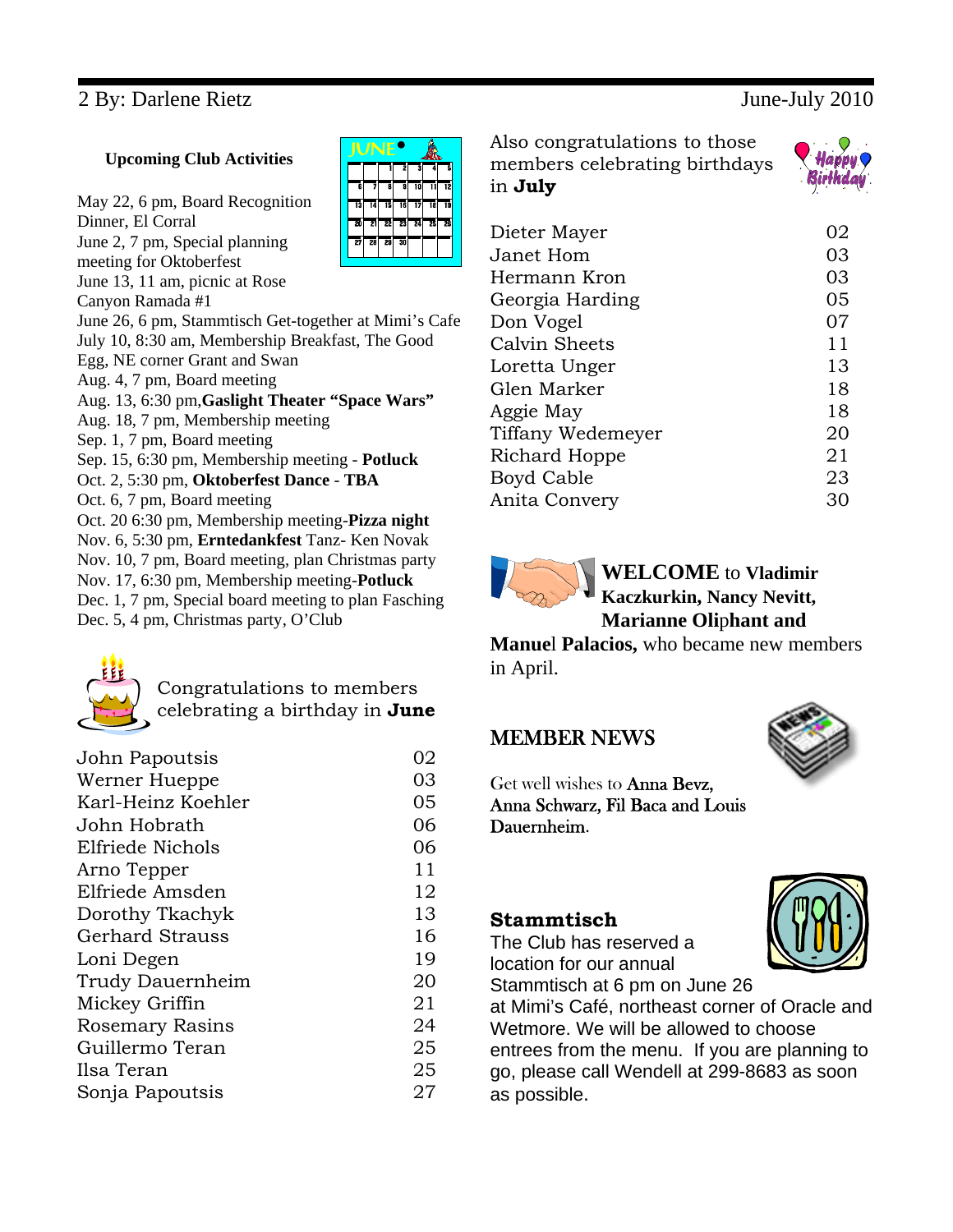# 2 By: Darlene Rietz June-July 2010

#### **Upcoming Club Activities**

May 22, 6 pm, Board Recognition Dinner, El Corral June 2, 7 pm, Special planning meeting for Oktoberfest June 13, 11 am, picnic at Rose Canyon Ramada #1 June 26, 6 pm, Stammtisch Get-together at Mimi's Cafe July 10, 8:30 am, Membership Breakfast, The Good Egg, NE corner Grant and Swan Aug. 4, 7 pm, Board meeting Aug. 13, 6:30 pm,**Gaslight Theater "Space Wars"** Aug. 18, 7 pm, Membership meeting Sep. 1, 7 pm, Board meeting Sep. 15, 6:30 pm, Membership meeting - **Potluck** Oct. 2, 5:30 pm, **Oktoberfest Dance** - **TBA** Oct. 6, 7 pm, Board meeting Oct. 20 6:30 pm, Membership meeting-**Pizza night** Nov. 6, 5:30 pm, **Erntedankfest** Tanz- Ken Novak Nov. 10, 7 pm, Board meeting, plan Christmas party Nov. 17, 6:30 pm, Membership meeting-**Potluck** Dec. 1, 7 pm, Special board meeting to plan Fasching Dec. 5, 4 pm, Christmas party, O'Club



# Congratulations to members celebrating a birthday in **June**

| John Papoutsis         | 02 |
|------------------------|----|
| Werner Hueppe          | 03 |
| Karl-Heinz Koehler     | 05 |
| John Hobrath           | 06 |
| Elfriede Nichols       | 06 |
| Arno Tepper            | 11 |
| Elfriede Amsden        | 12 |
| Dorothy Tkachyk        | 13 |
| Gerhard Strauss        | 16 |
| Loni Degen             | 19 |
| Trudy Dauernheim       | 20 |
| Mickey Griffin         | 21 |
| <b>Rosemary Rasins</b> | 24 |
| Guillermo Teran        | 25 |
| Ilsa Teran             | 25 |
| Sonja Papoutsis        | 27 |



Also congratulations to those members celebrating birthdays in **July** 



| Dieter Mayer      | 02 |
|-------------------|----|
| Janet Hom         | 03 |
| Hermann Kron      | 03 |
| Georgia Harding   | 05 |
| Don Vogel         | 07 |
| Calvin Sheets     | 11 |
| Loretta Unger     | 13 |
| Glen Marker       | 18 |
| Aggie May         | 18 |
| Tiffany Wedemeyer | 20 |
| Richard Hoppe     | 21 |
| Boyd Cable        | 23 |
| Anita Convery     | 30 |
|                   |    |



**Manue**l **Palacios,** who became new members in April.

### MEMBER NEWS



Get well wishes to Anna Bevz, Anna Schwarz, Fil Baca and Louis Dauernheim.

### **Stammtisch**

The Club has reserved a location for our annual



Stammtisch at 6 pm on June 26 at Mimi's Café, northeast corner of Oracle and Wetmore. We will be allowed to choose entrees from the menu. If you are planning to go, please call Wendell at 299-8683 as soon as possible.